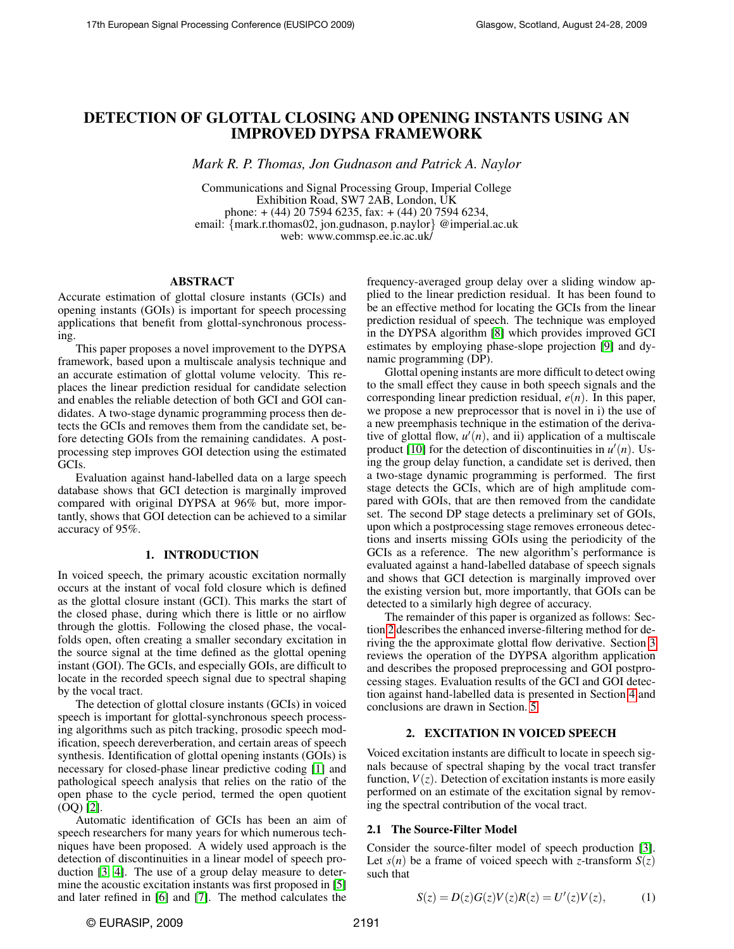# DETECTION OF GLOTTAL CLOSING AND OPENING INSTANTS USING AN IMPROVED DYPSA FRAMEWORK

*Mark R. P. Thomas, Jon Gudnason and Patrick A. Naylor*

Communications and Signal Processing Group, Imperial College Exhibition Road, SW7 2AB, London, UK phone: + (44) 20 7594 6235, fax: + (44) 20 7594 6234, email: {mark.r.thomas02, jon.gudnason, p.naylor} @imperial.ac.uk web: www.commsp.ee.ic.ac.uk/

## ABSTRACT

Accurate estimation of glottal closure instants (GCIs) and opening instants (GOIs) is important for speech processing applications that benefit from glottal-synchronous processing.

This paper proposes a novel improvement to the DYPSA framework, based upon a multiscale analysis technique and an accurate estimation of glottal volume velocity. This replaces the linear prediction residual for candidate selection and enables the reliable detection of both GCI and GOI candidates. A two-stage dynamic programming process then detects the GCIs and removes them from the candidate set, before detecting GOIs from the remaining candidates. A postprocessing step improves GOI detection using the estimated GCIs.

Evaluation against hand-labelled data on a large speech database shows that GCI detection is marginally improved compared with original DYPSA at 96% but, more importantly, shows that GOI detection can be achieved to a similar accuracy of 95%.

### 1. INTRODUCTION

In voiced speech, the primary acoustic excitation normally occurs at the instant of vocal fold closure which is defined as the glottal closure instant (GCI). This marks the start of the closed phase, during which there is little or no airflow through the glottis. Following the closed phase, the vocalfolds open, often creating a smaller secondary excitation in the source signal at the time defined as the glottal opening instant (GOI). The GCIs, and especially GOIs, are difficult to locate in the recorded speech signal due to spectral shaping by the vocal tract.

The detection of glottal closure instants (GCIs) in voiced speech is important for glottal-synchronous speech processing algorithms such as pitch tracking, prosodic speech modification, speech dereverberation, and certain areas of speech synthesis. Identification of glottal opening instants (GOIs) is necessary for closed-phase linear predictive coding [\[1\]](#page-4-0) and pathological speech analysis that relies on the ratio of the open phase to the cycle period, termed the open quotient (OQ) [\[2\]](#page-4-1).

Automatic identification of GCIs has been an aim of speech researchers for many years for which numerous techniques have been proposed. A widely used approach is the detection of discontinuities in a linear model of speech production [\[3,](#page-4-2) [4\]](#page-4-3). The use of a group delay measure to determine the acoustic excitation instants was first proposed in [\[5\]](#page-4-4) and later refined in [\[6\]](#page-4-5) and [\[7\]](#page-4-6). The method calculates the

frequency-averaged group delay over a sliding window applied to the linear prediction residual. It has been found to be an effective method for locating the GCIs from the linear prediction residual of speech. The technique was employed in the DYPSA algorithm [\[8\]](#page-4-7) which provides improved GCI estimates by employing phase-slope projection [\[9\]](#page-4-8) and dynamic programming (DP).

Glottal opening instants are more difficult to detect owing to the small effect they cause in both speech signals and the corresponding linear prediction residual, *e*(*n*). In this paper, we propose a new preprocessor that is novel in i) the use of a new preemphasis technique in the estimation of the derivative of glottal flow,  $u'(n)$ , and ii) application of a multiscale product [\[10\]](#page-4-9) for the detection of discontinuities in  $u'(n)$ . Using the group delay function, a candidate set is derived, then a two-stage dynamic programming is performed. The first stage detects the GCIs, which are of high amplitude compared with GOIs, that are then removed from the candidate set. The second DP stage detects a preliminary set of GOIs, upon which a postprocessing stage removes erroneous detections and inserts missing GOIs using the periodicity of the GCIs as a reference. The new algorithm's performance is evaluated against a hand-labelled database of speech signals and shows that GCI detection is marginally improved over the existing version but, more importantly, that GOIs can be detected to a similarly high degree of accuracy.

The remainder of this paper is organized as follows: Section [2](#page-0-0) describes the enhanced inverse-filtering method for deriving the the approximate glottal flow derivative. Section [3](#page-2-0) reviews the operation of the DYPSA algorithm application and describes the proposed preprocessing and GOI postprocessing stages. Evaluation results of the GCI and GOI detection against hand-labelled data is presented in Section [4](#page-3-0) and conclusions are drawn in Section. [5.](#page-3-1)

#### 2. EXCITATION IN VOICED SPEECH

<span id="page-0-0"></span>Voiced excitation instants are difficult to locate in speech signals because of spectral shaping by the vocal tract transfer function,  $V(z)$ . Detection of excitation instants is more easily performed on an estimate of the excitation signal by removing the spectral contribution of the vocal tract.

## 2.1 The Source-Filter Model

Consider the source-filter model of speech production [\[3\]](#page-4-2). Let  $s(n)$  be a frame of voiced speech with *z*-transform  $S(z)$ such that

$$
S(z) = D(z)G(z)V(z)R(z) = U'(z)V(z),\tag{1}
$$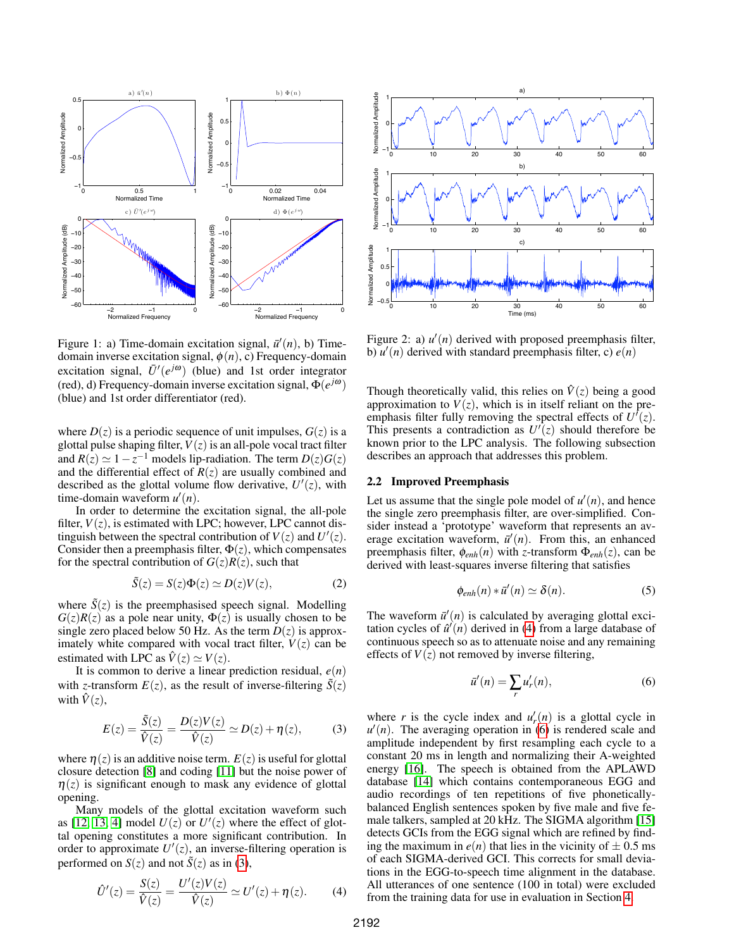

<span id="page-1-3"></span>Figure 1: a) Time-domain excitation signal,  $\bar{u}'(n)$ , b) Timedomain inverse excitation signal, φ(*n*), c) Frequency-domain excitation signal,  $\bar{U}'(e^{j\omega})$  (blue) and 1st order integrator (red), d) Frequency-domain inverse excitation signal,  $\Phi(e^{j\omega})$ (blue) and 1st order differentiator (red).

where  $D(z)$  is a periodic sequence of unit impulses,  $G(z)$  is a glottal pulse shaping filter,  $V(z)$  is an all-pole vocal tract filter and  $R(z) \simeq 1 - z^{-1}$  models lip-radiation. The term  $D(z)G(z)$ and the differential effect of  $R(z)$  are usually combined and described as the glottal volume flow derivative,  $U'(z)$ , with time-domain waveform  $u'(n)$ .

In order to determine the excitation signal, the all-pole filter,  $V(z)$ , is estimated with LPC; however, LPC cannot distinguish between the spectral contribution of  $V(z)$  and  $U'(z)$ . Consider then a preemphasis filter,  $\Phi(z)$ , which compensates for the spectral contribution of  $G(z)R(z)$ , such that

$$
\tilde{S}(z) = S(z)\Phi(z) \simeq D(z)V(z),\tag{2}
$$

where  $\tilde{S}(z)$  is the preemphasised speech signal. Modelling  $G(z)R(z)$  as a pole near unity,  $\Phi(z)$  is usually chosen to be single zero placed below 50 Hz. As the term  $D(z)$  is approximately white compared with vocal tract filter,  $V(z)$  can be estimated with LPC as  $\hat{V}(z) \simeq V(z)$ .

It is common to derive a linear prediction residual,  $e(n)$ with *z*-transform  $E(z)$ , as the result of inverse-filtering  $\tilde{S}(z)$ with  $\hat{V}(z)$ ,

<span id="page-1-0"></span>
$$
E(z) = \frac{\tilde{S}(z)}{\tilde{V}(z)} = \frac{D(z)V(z)}{\tilde{V}(z)} \simeq D(z) + \eta(z),\tag{3}
$$

where  $\eta(z)$  is an additive noise term.  $E(z)$  is useful for glottal closure detection [\[8\]](#page-4-7) and coding [\[11\]](#page-4-10) but the noise power of  $\eta(z)$  is significant enough to mask any evidence of glottal opening.

Many models of the glottal excitation waveform such as [\[12,](#page-4-11) [13,](#page-4-12) [4\]](#page-4-3) model  $U(z)$  or  $U'(z)$  where the effect of glottal opening constitutes a more significant contribution. In order to approximate  $U'(z)$ , an inverse-filtering operation is performed on  $S(z)$  and not  $\tilde{S}(z)$  as in [\(3\)](#page-1-0),

<span id="page-1-1"></span>
$$
\hat{U}'(z) = \frac{S(z)}{\hat{V}(z)} = \frac{U'(z)V(z)}{\hat{V}(z)} \simeq U'(z) + \eta(z). \tag{4}
$$



<span id="page-1-4"></span>Figure 2: a)  $u'(n)$  derived with proposed preemphasis filter, b)  $u'(n)$  derived with standard preemphasis filter, c)  $e(n)$ 

Though theoretically valid, this relies on  $\hat{V}(z)$  being a good approximation to  $V(z)$ , which is in itself reliant on the preemphasis filter fully removing the spectral effects of  $U^{\dagger}(z)$ . This presents a contradiction as  $U'(z)$  should therefore be known prior to the LPC analysis. The following subsection describes an approach that addresses this problem.

## 2.2 Improved Preemphasis

Let us assume that the single pole model of  $u'(n)$ , and hence the single zero preemphasis filter, are over-simplified. Consider instead a 'prototype' waveform that represents an average excitation waveform,  $\bar{u}'(n)$ . From this, an enhanced preemphasis filter,  $\phi_{enh}(n)$  with *z*-transform  $\Phi_{enh}(z)$ , can be derived with least-squares inverse filtering that satisfies

$$
\phi_{enh}(n) * \bar{u}'(n) \simeq \delta(n). \tag{5}
$$

The waveform  $\bar{u}'(n)$  is calculated by averaging glottal excitation cycles of  $\hat{u}'(n)$  derived in [\(4\)](#page-1-1) from a large database of continuous speech so as to attenuate noise and any remaining effects of  $V(z)$  not removed by inverse filtering,

<span id="page-1-2"></span>
$$
\bar{u}'(n) = \sum_{r} u'_r(n),\tag{6}
$$

where *r* is the cycle index and  $u_r'(n)$  is a glottal cycle in  $u'(n)$ . The averaging operation in  $(6)$  is rendered scale and amplitude independent by first resampling each cycle to a constant 20 ms in length and normalizing their A-weighted energy [\[16\]](#page-4-13). The speech is obtained from the APLAWD database [\[14\]](#page-4-14) which contains contemporaneous EGG and audio recordings of ten repetitions of five phoneticallybalanced English sentences spoken by five male and five female talkers, sampled at 20 kHz. The SIGMA algorithm [\[15\]](#page-4-15) detects GCIs from the EGG signal which are refined by finding the maximum in  $e(n)$  that lies in the vicinity of  $\pm 0.5$  ms of each SIGMA-derived GCI. This corrects for small deviations in the EGG-to-speech time alignment in the database. All utterances of one sentence (100 in total) were excluded from the training data for use in evaluation in Section [4.](#page-3-0)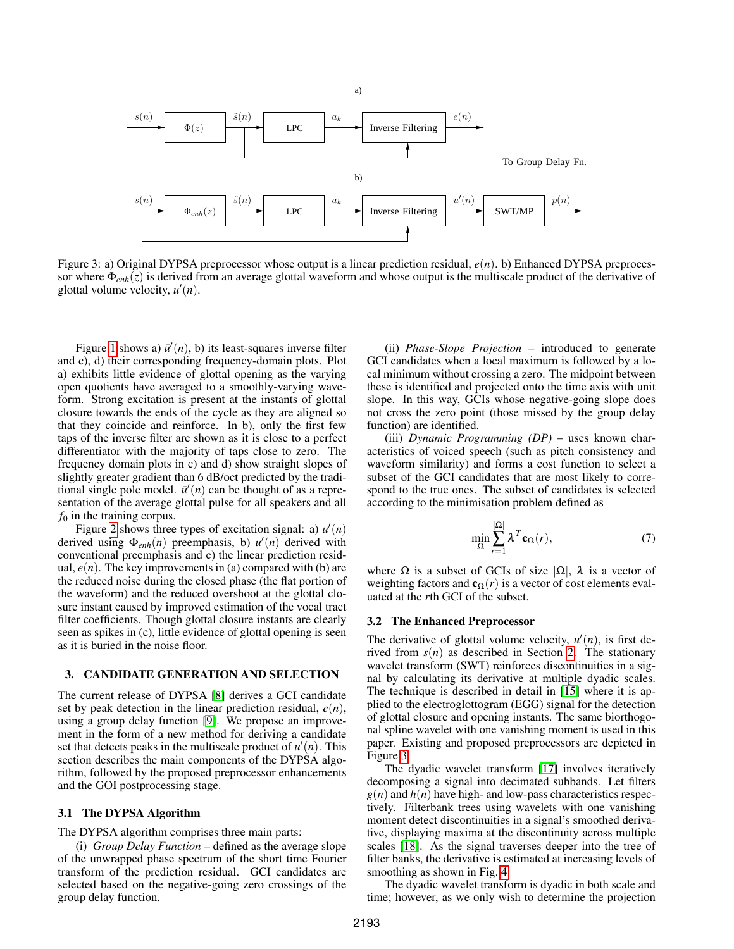

<span id="page-2-1"></span>Figure 3: a) Original DYPSA preprocessor whose output is a linear prediction residual, *e*(*n*). b) Enhanced DYPSA preprocessor where Φ*enh*(*z*) is derived from an average glottal waveform and whose output is the multiscale product of the derivative of glottal volume velocity,  $u'(n)$ .

Figure [1](#page-1-3) shows a)  $\bar{u}'(n)$ , b) its least-squares inverse filter and c), d) their corresponding frequency-domain plots. Plot a) exhibits little evidence of glottal opening as the varying open quotients have averaged to a smoothly-varying waveform. Strong excitation is present at the instants of glottal closure towards the ends of the cycle as they are aligned so that they coincide and reinforce. In b), only the first few taps of the inverse filter are shown as it is close to a perfect differentiator with the majority of taps close to zero. The frequency domain plots in c) and d) show straight slopes of slightly greater gradient than 6 dB/oct predicted by the traditional single pole model.  $\bar{u}'(n)$  can be thought of as a representation of the average glottal pulse for all speakers and all *f*<sub>0</sub> in the training corpus.

Figure [2](#page-1-4) shows three types of excitation signal: a)  $u'(n)$ derived using  $\Phi_{enh}(n)$  preemphasis, b)  $u'(n)$  derived with conventional preemphasis and c) the linear prediction residual,  $e(n)$ . The key improvements in (a) compared with (b) are the reduced noise during the closed phase (the flat portion of the waveform) and the reduced overshoot at the glottal closure instant caused by improved estimation of the vocal tract filter coefficients. Though glottal closure instants are clearly seen as spikes in (c), little evidence of glottal opening is seen as it is buried in the noise floor.

## <span id="page-2-0"></span>3. CANDIDATE GENERATION AND SELECTION

The current release of DYPSA [\[8\]](#page-4-7) derives a GCI candidate set by peak detection in the linear prediction residual, *e*(*n*), using a group delay function [\[9\]](#page-4-8). We propose an improvement in the form of a new method for deriving a candidate set that detects peaks in the multiscale product of  $u'(n)$ . This section describes the main components of the DYPSA algorithm, followed by the proposed preprocessor enhancements and the GOI postprocessing stage.

#### 3.1 The DYPSA Algorithm

The DYPSA algorithm comprises three main parts:

(i) *Group Delay Function* – defined as the average slope of the unwrapped phase spectrum of the short time Fourier transform of the prediction residual. GCI candidates are selected based on the negative-going zero crossings of the group delay function.

(ii) *Phase-Slope Projection* – introduced to generate GCI candidates when a local maximum is followed by a local minimum without crossing a zero. The midpoint between these is identified and projected onto the time axis with unit slope. In this way, GCIs whose negative-going slope does not cross the zero point (those missed by the group delay function) are identified.

(iii) *Dynamic Programming (DP)* – uses known characteristics of voiced speech (such as pitch consistency and waveform similarity) and forms a cost function to select a subset of the GCI candidates that are most likely to correspond to the true ones. The subset of candidates is selected according to the minimisation problem defined as

$$
\min_{\Omega} \sum_{r=1}^{|\Omega|} \lambda^T \mathbf{c}_{\Omega}(r),\tag{7}
$$

where  $\Omega$  is a subset of GCIs of size  $|\Omega|$ ,  $\lambda$  is a vector of weighting factors and  $c_{\Omega}(r)$  is a vector of cost elements evaluated at the *r*th GCI of the subset.

#### 3.2 The Enhanced Preprocessor

The derivative of glottal volume velocity,  $u'(n)$ , is first derived from  $s(n)$  as described in Section [2.](#page-0-0) The stationary wavelet transform (SWT) reinforces discontinuities in a signal by calculating its derivative at multiple dyadic scales. The technique is described in detail in [\[15\]](#page-4-15) where it is applied to the electroglottogram (EGG) signal for the detection of glottal closure and opening instants. The same biorthogonal spline wavelet with one vanishing moment is used in this paper. Existing and proposed preprocessors are depicted in Figure [3.](#page-2-1)

The dyadic wavelet transform [\[17\]](#page-4-16) involves iteratively decomposing a signal into decimated subbands. Let filters  $g(n)$  and  $h(n)$  have high- and low-pass characteristics respectively. Filterbank trees using wavelets with one vanishing moment detect discontinuities in a signal's smoothed derivative, displaying maxima at the discontinuity across multiple scales [\[18\]](#page-4-17). As the signal traverses deeper into the tree of filter banks, the derivative is estimated at increasing levels of smoothing as shown in Fig. [4.](#page-3-2)

The dyadic wavelet transform is dyadic in both scale and time; however, as we only wish to determine the projection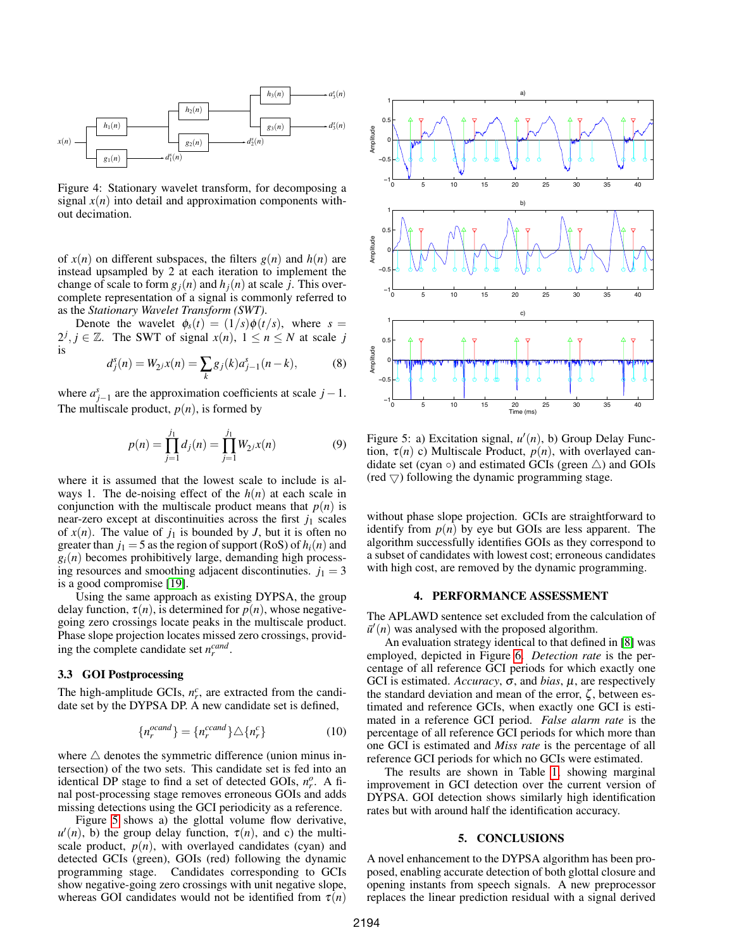

<span id="page-3-2"></span>Figure 4: Stationary wavelet transform, for decomposing a signal  $x(n)$  into detail and approximation components without decimation.

of  $x(n)$  on different subspaces, the filters  $g(n)$  and  $h(n)$  are instead upsampled by 2 at each iteration to implement the change of scale to form  $g_i(n)$  and  $h_i(n)$  at scale *j*. This overcomplete representation of a signal is commonly referred to as the *Stationary Wavelet Transform (SWT)*.

Denote the wavelet  $\phi_s(t) = (1/s)\phi(t/s)$ , where  $s =$  $2^{j}$ ,  $j \in \mathbb{Z}$ . The SWT of signal  $x(n)$ ,  $1 \leq n \leq N$  at scale *j* is

$$
d_j^s(n) = W_{2j}x(n) = \sum_k g_j(k)a_{j-1}^s(n-k),
$$
 (8)

where  $a_{j-1}^s$  are the approximation coefficients at scale  $j-1$ . The multiscale product,  $p(n)$ , is formed by

$$
p(n) = \prod_{j=1}^{j_1} d_j(n) = \prod_{j=1}^{j_1} W_{2^j} x(n)
$$
 (9)

where it is assumed that the lowest scale to include is always 1. The de-noising effect of the  $h(n)$  at each scale in conjunction with the multiscale product means that  $p(n)$  is near-zero except at discontinuities across the first  $j_1$  scales of  $x(n)$ . The value of  $j_1$  is bounded by *J*, but it is often no greater than  $j_1 = 5$  as the region of support (RoS) of  $h_i(n)$  and  $g_i(n)$  becomes prohibitively large, demanding high processing resources and smoothing adjacent discontinuties.  $j_1 = 3$ is a good compromise [\[19\]](#page-4-18).

Using the same approach as existing DYPSA, the group delay function,  $\tau(n)$ , is determined for  $p(n)$ , whose negativegoing zero crossings locate peaks in the multiscale product. Phase slope projection locates missed zero crossings, providing the complete candidate set  $n_r^{cand}$ .

## 3.3 GOI Postprocessing

The high-amplitude GCIs,  $n_r^c$ , are extracted from the candidate set by the DYPSA DP. A new candidate set is defined,

$$
\{n_r^{ocand}\} = \{n_r^{ccand}\}\triangle\{n_r^c\}
$$
 (10)

where  $\triangle$  denotes the symmetric difference (union minus intersection) of the two sets. This candidate set is fed into an identical DP stage to find a set of detected GOIs,  $n_r^o$ . A final post-processing stage removes erroneous GOIs and adds missing detections using the GCI periodicity as a reference.

Figure [5](#page-3-3) shows a) the glottal volume flow derivative,  $u'(n)$ , b) the group delay function,  $\tau(n)$ , and c) the multiscale product,  $p(n)$ , with overlayed candidates (cyan) and detected GCIs (green), GOIs (red) following the dynamic programming stage. Candidates corresponding to GCIs show negative-going zero crossings with unit negative slope, whereas GOI candidates would not be identified from  $\tau(n)$ 



<span id="page-3-3"></span>Figure 5: a) Excitation signal,  $u'(n)$ , b) Group Delay Function,  $\tau(n)$  c) Multiscale Product,  $p(n)$ , with overlayed candidate set (cyan  $\circ$ ) and estimated GCIs (green  $\triangle$ ) and GOIs  $(\text{red } \bigtriangledown)$  following the dynamic programming stage.

without phase slope projection. GCIs are straightforward to identify from  $p(n)$  by eye but GOIs are less apparent. The algorithm successfully identifies GOIs as they correspond to a subset of candidates with lowest cost; erroneous candidates with high cost, are removed by the dynamic programming.

#### 4. PERFORMANCE ASSESSMENT

<span id="page-3-0"></span>The APLAWD sentence set excluded from the calculation of  $\bar{u}'(n)$  was analysed with the proposed algorithm.

An evaluation strategy identical to that defined in [\[8\]](#page-4-7) was employed, depicted in Figure [6.](#page-4-19) *Detection rate* is the percentage of all reference GCI periods for which exactly one GCI is estimated. *Accuracy*,  $\sigma$ , and *bias*,  $\mu$ , are respectively the standard deviation and mean of the error,  $\zeta$ , between estimated and reference GCIs, when exactly one GCI is estimated in a reference GCI period. *False alarm rate* is the percentage of all reference GCI periods for which more than one GCI is estimated and *Miss rate* is the percentage of all reference GCI periods for which no GCIs were estimated.

The results are shown in Table [1,](#page-4-20) showing marginal improvement in GCI detection over the current version of DYPSA. GOI detection shows similarly high identification rates but with around half the identification accuracy.

#### 5. CONCLUSIONS

<span id="page-3-1"></span>A novel enhancement to the DYPSA algorithm has been proposed, enabling accurate detection of both glottal closure and opening instants from speech signals. A new preprocessor replaces the linear prediction residual with a signal derived